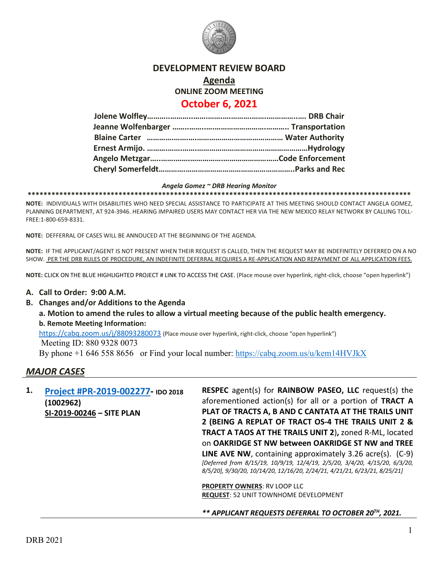

# **DEVELOPMENT REVIEW BOARD**

## **Agenda ONLINE ZOOM MEETING October 6, 2021**

## **Jolene Wolfley………..………..…….…….….……….……..…………..…. DRB Chair Jeanne Wolfenbarger ……..……..….…………………….……….. Transportation Blaine Carter ………….…….….…………………………………… Water Authority Ernest Armijo. ……….…….…….………………………………………………Hydrology Angelo Metzgar…..…….…….…………….………………………Code Enforcement Cheryl Somerfeldt………….……………………………………………..Parks and Rec**

#### *Angela Gomez ~ DRB Hearing Monitor*

**\*\*\*\*\*\*\*\*\*\*\*\*\*\*\*\*\*\*\*\*\*\*\*\*\*\*\*\*\*\*\*\*\*\*\*\*\*\*\*\*\*\*\*\*\*\*\*\*\*\*\*\*\*\*\*\*\*\*\*\*\*\*\*\*\*\*\*\*\*\*\*\*\*\*\*\*\*\*\*\*\*\*\*\*\*\*\*\*\*\*\*\*\*\*\*\*\***

**NOTE:** INDIVIDUALS WITH DISABILITIES WHO NEED SPECIAL ASSISTANCE TO PARTICIPATE AT THIS MEETING SHOULD CONTACT ANGELA GOMEZ, PLANNING DEPARTMENT, AT 924-3946. HEARING IMPAIRED USERS MAY CONTACT HER VIA THE NEW MEXICO RELAY NETWORK BY CALLING TOLL-FREE:1-800-659-8331.

**NOTE:** DEFFERRAL OF CASES WILL BE ANNOUCED AT THE BEGINNING OF THE AGENDA.

**NOTE:** IF THE APPLICANT/AGENT IS NOT PRESENT WHEN THEIR REQUEST IS CALLED, THEN THE REQUEST MAY BE INDEFINITELY DEFERRED ON A NO SHOW. PER THE DRB RULES OF PROCEDURE, AN INDEFINITE DEFERRAL REQUIRES A RE-APPLICATION AND REPAYMENT OF ALL APPLICATION FEES.

**NOTE:** CLICK ON THE BLUE HIGHLIGHTED PROJECT # LINK TO ACCESS THE CASE. (Place mouse over hyperlink, right-click, choose "open hyperlink")

#### **A. Call to Order: 9:00 A.M.**

**B. Changes and/or Additions to the Agenda**

**a. Motion to amend the rules to allow a virtual meeting because of the public health emergency. b. Remote Meeting Information:** 

<https://cabq.zoom.us/j/88093280073> (Place mouse over hyperlink, right-click, choose "open hyperlink") Meeting ID: 880 9328 0073

By phone +1 646 558 8656 or Find your local number:<https://cabq.zoom.us/u/kem14HVJkX>

### *MAJOR CASES*

**1. [Project #PR-2019-002277-](http://data.cabq.gov/government/planning/DRB/PR-2019-002277/DRB%20Submittals/) IDO 2018 (1002962) SI-2019-00246 – SITE PLAN**

**RESPEC** agent(s) for **RAINBOW PASEO, LLC** request(s) the aforementioned action(s) for all or a portion of **TRACT A PLAT OF TRACTS A, B AND C CANTATA AT THE TRAILS UNIT 2 (BEING A REPLAT OF TRACT OS-4 THE TRAILS UNIT 2 & TRACT A TAOS AT THE TRAILS UNIT 2**)**,** zoned R-ML, located on **OAKRIDGE ST NW between OAKRIDGE ST NW and TREE LINE AVE NW**, containing approximately 3.26 acre(s). (C-9) *[Deferred from 8/15/19, 10/9/19, 12/4/19, 2/5/20, 3/4/20, 4/15/20, 6/3/20, 8/5/20], 9/30/20, 10/14/20, 12/16/20, 2/24/21, 4/21/21, 6/23/21, 8/25/21]*

**PROPERTY OWNERS**: RV LOOP LLC **REQUEST**: 52 UNIT TOWNHOME DEVELOPMENT

*\*\* APPLICANT REQUESTS DEFERRAL TO OCTOBER 20TH, 2021.*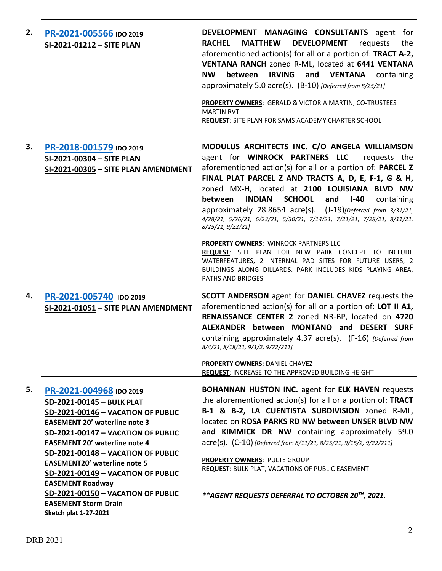| 2. | PR-2021-005566 IDO 2019<br>SI-2021-01212 - SITE PLAN                                                                                                                                                                                                                                                                                                           | DEVELOPMENT MANAGING CONSULTANTS agent for<br><b>RACHEL</b><br><b>MATTHEW</b><br><b>DEVELOPMENT</b><br>requests<br>the<br>aforementioned action(s) for all or a portion of: TRACT A-2,<br>VENTANA RANCH zoned R-ML, located at 6441 VENTANA<br>between<br><b>IRVING</b><br>and VENTANA containing<br><b>NW</b><br>approximately 5.0 acre(s). (B-10) [Deferred from 8/25/21]<br>PROPERTY OWNERS: GERALD & VICTORIA MARTIN, CO-TRUSTEES<br><b>MARTIN RVT</b><br><b>REQUEST: SITE PLAN FOR SAMS ACADEMY CHARTER SCHOOL</b>                                            |
|----|----------------------------------------------------------------------------------------------------------------------------------------------------------------------------------------------------------------------------------------------------------------------------------------------------------------------------------------------------------------|--------------------------------------------------------------------------------------------------------------------------------------------------------------------------------------------------------------------------------------------------------------------------------------------------------------------------------------------------------------------------------------------------------------------------------------------------------------------------------------------------------------------------------------------------------------------|
| З. | PR-2018-001579 IDO 2019<br>SI-2021-00304 - SITE PLAN<br>SI-2021-00305 - SITE PLAN AMENDMENT                                                                                                                                                                                                                                                                    | MODULUS ARCHITECTS INC. C/O ANGELA WILLIAMSON<br>agent for WINROCK PARTNERS LLC<br>requests the<br>aforementioned action(s) for all or a portion of: PARCEL Z<br>FINAL PLAT PARCEL Z AND TRACTS A, D, E, F-1, G & H,<br>zoned MX-H, located at 2100 LOUISIANA BLVD NW<br><b>INDIAN</b><br><b>SCHOOL</b><br>between<br>and<br>$I-40$<br>containing<br>approximately 28.8654 acre(s). (J-19) [Deferred from 3/31/21,<br>4/28/21, 5/26/21, 6/23/21, 6/30/21, 7/14/21, 7/21/21, 7/28/21, 8/11/21,<br>8/25/21, 9/22/21]<br><b>PROPERTY OWNERS: WINROCK PARTNERS LLC</b> |
|    |                                                                                                                                                                                                                                                                                                                                                                | REQUEST: SITE PLAN FOR NEW PARK CONCEPT TO INCLUDE<br>WATERFEATURES, 2 INTERNAL PAD SITES FOR FUTURE USERS, 2<br>BUILDINGS ALONG DILLARDS. PARK INCLUDES KIDS PLAYING AREA,<br>PATHS AND BRIDGES                                                                                                                                                                                                                                                                                                                                                                   |
| 4. | PR-2021-005740 IDO 2019<br>SI-2021-01051 - SITE PLAN AMENDMENT                                                                                                                                                                                                                                                                                                 | <b>SCOTT ANDERSON</b> agent for <b>DANIEL CHAVEZ</b> requests the<br>aforementioned action(s) for all or a portion of: LOT II A1,<br>RENAISSANCE CENTER 2 zoned NR-BP, located on 4720<br>ALEXANDER between MONTANO and DESERT SURF<br>containing approximately 4.37 acre(s). (F-16) [Deferred from<br>8/4/21, 8/18/21, 9/1/2, 9/22/211]                                                                                                                                                                                                                           |
|    |                                                                                                                                                                                                                                                                                                                                                                | PROPERTY OWNERS: DANIEL CHAVEZ<br><b>REQUEST: INCREASE TO THE APPROVED BUILDING HEIGHT</b>                                                                                                                                                                                                                                                                                                                                                                                                                                                                         |
| 5. | PR-2021-004968 IDO 2019<br>SD-2021-00145 - BULK PLAT<br>SD-2021-00146 - VACATION OF PUBLIC<br><b>EASEMENT 20' waterline note 3</b><br>SD-2021-00147 - VACATION OF PUBLIC<br><b>EASEMENT 20' waterline note 4</b><br>SD-2021-00148 - VACATION OF PUBLIC<br><b>EASEMENT20' waterline note 5</b><br>SD-2021-00149 - VACATION OF PUBLIC<br><b>EASEMENT Roadway</b> | <b>BOHANNAN HUSTON INC.</b> agent for ELK HAVEN requests<br>the aforementioned action(s) for all or a portion of: TRACT<br>B-1 & B-2, LA CUENTISTA SUBDIVISION zoned R-ML,<br>located on ROSA PARKS RD NW between UNSER BLVD NW<br>and KIMMICK DR NW containing approximately 59.0<br>acre(s). (C-10) [Deferred from 8/11/21, 8/25/21, 9/15/2, 9/22/211]<br>PROPERTY OWNERS: PULTE GROUP<br><b>REQUEST: BULK PLAT, VACATIONS OF PUBLIC EASEMENT</b>                                                                                                                |
|    | SD-2021-00150 - VACATION OF PUBLIC<br><b>EASEMENT Storm Drain</b><br>Sketch plat 1-27-2021                                                                                                                                                                                                                                                                     | **AGENT REQUESTS DEFERRAL TO OCTOBER 20TH, 2021.                                                                                                                                                                                                                                                                                                                                                                                                                                                                                                                   |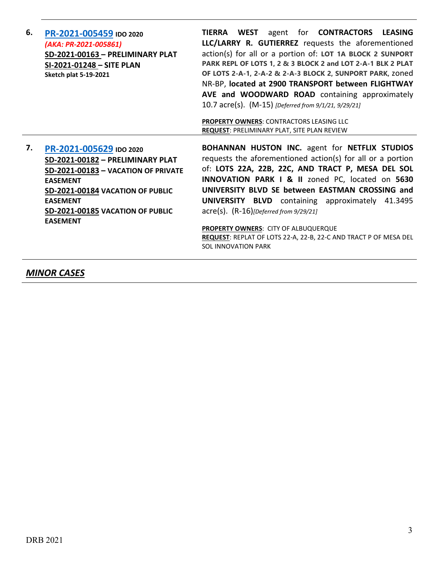| 6. | PR-2021-005459 IDO 2020                                | <b>TIERRA WEST</b> agent for <b>CONTRACTORS</b><br><b>LEASING</b>                                     |
|----|--------------------------------------------------------|-------------------------------------------------------------------------------------------------------|
|    | (AKA: PR-2021-005861)                                  | LLC/LARRY R. GUTIERREZ requests the aforementioned                                                    |
|    | SD-2021-00163 - PRELIMINARY PLAT                       | action(s) for all or a portion of: LOT 1A BLOCK 2 SUNPORT                                             |
|    | SI-2021-01248 - SITE PLAN                              | PARK REPL OF LOTS 1, 2 & 3 BLOCK 2 and LOT 2-A-1 BLK 2 PLAT                                           |
|    | <b>Sketch plat 5-19-2021</b>                           | OF LOTS 2-A-1, 2-A-2 & 2-A-3 BLOCK 2, SUNPORT PARK, zoned                                             |
|    |                                                        | NR-BP, located at 2900 TRANSPORT between FLIGHTWAY                                                    |
|    |                                                        | AVE and WOODWARD ROAD containing approximately                                                        |
|    |                                                        | 10.7 acre(s). (M-15) [Deferred from 9/1/21, 9/29/21]                                                  |
|    |                                                        |                                                                                                       |
|    |                                                        | <b>PROPERTY OWNERS: CONTRACTORS LEASING LLC</b><br>REQUEST: PRELIMINARY PLAT, SITE PLAN REVIEW        |
|    |                                                        |                                                                                                       |
|    |                                                        |                                                                                                       |
| 7. |                                                        | <b>BOHANNAN HUSTON INC.</b> agent for NETFLIX STUDIOS                                                 |
|    | PR-2021-005629 IDO 2020                                | requests the aforementioned action(s) for all or a portion                                            |
|    | SD-2021-00182 - PRELIMINARY PLAT                       | of: LOTS 22A, 22B, 22C, AND TRACT P, MESA DEL SOL                                                     |
|    | SD-2021-00183 - VACATION OF PRIVATE<br><b>EASEMENT</b> | <b>INNOVATION PARK I &amp; II zoned PC, located on 5630</b>                                           |
|    | SD-2021-00184 VACATION OF PUBLIC                       | UNIVERSITY BLVD SE between EASTMAN CROSSING and                                                       |
|    | <b>EASEMENT</b>                                        | <b>UNIVERSITY BLVD</b> containing approximately 41.3495                                               |
|    | SD-2021-00185 VACATION OF PUBLIC                       | $\text{acre}(s)$ . $(R-16)$ [Deferred from 9/29/21]                                                   |
|    | <b>EASEMENT</b>                                        |                                                                                                       |
|    |                                                        | <b>PROPERTY OWNERS: CITY OF ALBUQUERQUE</b>                                                           |
|    |                                                        | <b>REQUEST: REPLAT OF LOTS 22-A, 22-B, 22-C AND TRACT P OF MESA DEL</b><br><b>SOL INNOVATION PARK</b> |

*MINOR CASES*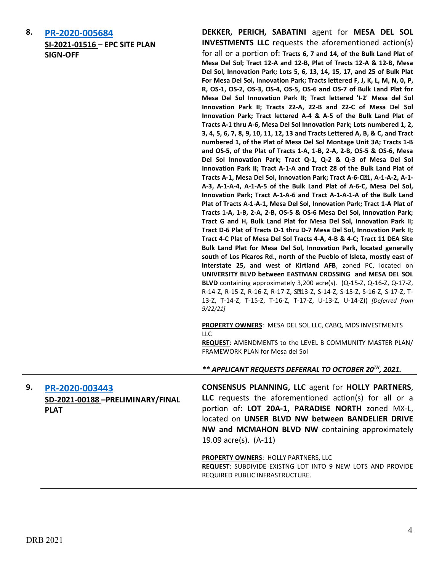**8. [PR-2020-005684](http://data.cabq.gov/government/planning/DRB/PR-2020-005684/DRB%20Submittals/PR-2020-005684_Sept_22_2021/Application/MdS%20Level%20B%20Amend%20-%20DRB%20%20Submittal%209.14.2021___.pdf) SI-2021-01516 – EPC SITE PLAN SIGN-OFF**

**DEKKER, PERICH, SABATINI** agent for **MESA DEL SOL INVESTMENTS LLC** requests the aforementioned action(s) for all or a portion of: **Tracts 6, 7 and 14, of the Bulk Land Plat of Mesa Del Sol; Tract 12-A and 12-B, Plat of Tracts 12-A & 12-B, Mesa Del Sol, Innovation Park; Lots 5, 6, 13, 14, 15, 17, and 25 of Bulk Plat For Mesa Del Sol, Innovation Park; Tracts lettered F, J, K, L, M, N, 0, P, R, OS-1, OS-2, OS-3, OS-4, OS-5, OS-6 and OS-7 of Bulk Land Plat for Mesa Del Sol Innovation Park II; Tract lettered 'I-2' Mesa del Sol Innovation Park II; Tracts 22-A, 22-B and 22-C of Mesa Del Sol Innovation Park; Tract lettered A-4 & A-5 of the Bulk Land Plat of Tracts A-1 thru A-6, Mesa Del Sol Innovation Park; Lots numbered 1, 2, 3, 4, 5, 6, 7, 8, 9, 10, 11, 12, 13 and Tracts Lettered A, B, & C, and Tract numbered 1, of the Plat of Mesa Del Sol Montage Unit 3A; Tracts 1-B and OS-5, of the Plat of Tracts 1-A, 1-B, 2-A, 2-B, OS-5 & OS-6, Mesa Del Sol Innovation Park; Tract Q-1, Q-2 & Q-3 of Mesa Del Sol Innovation Park II; Tract A-1-A and Tract 28 of the Bulk Land Plat of Tracts A-1, Mesa Del Sol, Innovation Park; Tract A-6-C-1, A-1-A-2, A-1- A-3, A-1-A-4, A-1-A-5 of the Bulk Land Plat of A-6-C, Mesa Del Sol, Innovation Park; Tract A-1-A-6 and Tract A-1-A-1-A of the Bulk Land Plat of Tracts A-1-A-1, Mesa Del Sol, Innovation Park; Tract 1-A Plat of Tracts 1-A, 1-B, 2-A, 2-B, OS-5 & OS-6 Mesa Del Sol, Innovation Park; Tract G and H, Bulk Land Plat for Mesa Del Sol, Innovation Park II; Tract D-6 Plat of Tracts D-1 thru D-7 Mesa Del Sol, Innovation Park II; Tract 4-C Plat of Mesa Del Sol Tracts 4-A, 4-B & 4-C; Tract 11 DEA Site Bulk Land Plat for Mesa Del Sol, Innovation Park, located generally south of Los Picaros Rd., north of the Pueblo of Isleta, mostly east of Interstate 25, and west of Kirtland AFB**, zoned PC, located on **UNIVERSITY BLVD between EASTMAN CROSSING and MESA DEL SOL BLVD** containing approximately 3,200 acre(s). (Q-15-Z, Q-16-Z, Q-17-Z, R-14-Z, R-15-Z, R-16-Z, R-17-Z, S213-Z, S-14-Z, S-15-Z, S-16-Z, S-17-Z, T-13-Z, T-14-Z, T-15-Z, T-16-Z, T-17-Z, U-13-Z, U-14-Z)) *[Deferred from 9/22/21]*

**PROPERTY OWNERS**: MESA DEL SOL LLC, CABQ, MDS INVESTMENTS  $\sqcup$  C.

**REQUEST**: AMENDMENTS to the LEVEL B COMMUNITY MASTER PLAN/ FRAMEWORK PLAN for Mesa del Sol

*\*\* APPLICANT REQUESTS DEFERRAL TO OCTOBER 20TH, 2021.*

**9. [PR-2020-003443](http://data.cabq.gov/government/planning/DRB/PR-2020-003443/DRB%20Submittals/PR-2020-003443_Oct_6_2021/Application/PR-2020-003443_Final_Plat_Application%20(003).pdf) SD-2021-00188 –PRELIMINARY/FINAL PLAT**

**CONSENSUS PLANNING, LLC** agent for **HOLLY PARTNERS**, **LLC** requests the aforementioned action(s) for all or a portion of: **LOT 20A-1, PARADISE NORTH** zoned MX-L, located on **UNSER BLVD NW between BANDELIER DRIVE NW and MCMAHON BLVD NW** containing approximately 19.09 acre(s). (A-11)

**PROPERTY OWNERS**: HOLLY PARTNERS, LLC **REQUEST**: SUBDIVIDE EXISTNG LOT INTO 9 NEW LOTS AND PROVIDE REQUIRED PUBLIC INFRASTRUCTURE.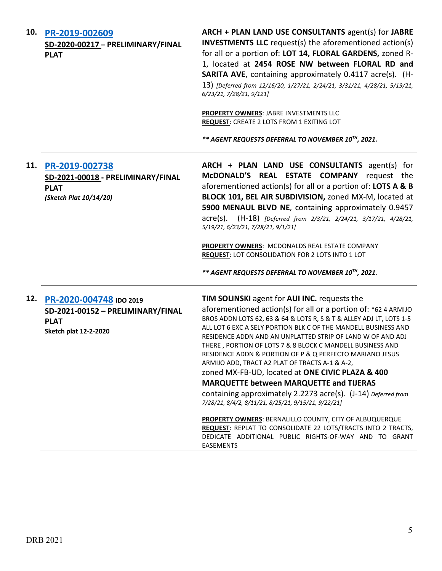| 10. | PR-2019-002609<br>SD-2020-00217 - PRELIMINARY/FINAL<br><b>PLAT</b>                                          | ARCH + PLAN LAND USE CONSULTANTS agent(s) for JABRE<br><b>INVESTMENTS LLC</b> request(s) the aforementioned action(s)<br>for all or a portion of: LOT 14, FLORAL GARDENS, zoned R-<br>1, located at 2454 ROSE NW between FLORAL RD and<br>SARITA AVE, containing approximately 0.4117 acre(s). (H-<br>13) [Deferred from 12/16/20, 1/27/21, 2/24/21, 3/31/21, 4/28/21, 5/19/21,<br>6/23/21, 7/28/21, 9/121]<br>PROPERTY OWNERS: JABRE INVESTMENTS LLC                                                                                                                                                                                                                                                                          |
|-----|-------------------------------------------------------------------------------------------------------------|--------------------------------------------------------------------------------------------------------------------------------------------------------------------------------------------------------------------------------------------------------------------------------------------------------------------------------------------------------------------------------------------------------------------------------------------------------------------------------------------------------------------------------------------------------------------------------------------------------------------------------------------------------------------------------------------------------------------------------|
|     |                                                                                                             | <b>REQUEST: CREATE 2 LOTS FROM 1 EXITING LOT</b>                                                                                                                                                                                                                                                                                                                                                                                                                                                                                                                                                                                                                                                                               |
|     |                                                                                                             | ** AGENT REQUESTS DEFERRAL TO NOVEMBER 10TH, 2021.                                                                                                                                                                                                                                                                                                                                                                                                                                                                                                                                                                                                                                                                             |
| 11. | PR-2019-002738<br>SD-2021-00018 - PRELIMINARY/FINAL<br><b>PLAT</b><br>(Sketch Plat 10/14/20)                | ARCH + PLAN LAND USE CONSULTANTS agent(s) for<br>McDONALD'S REAL ESTATE COMPANY request the<br>aforementioned action(s) for all or a portion of: LOTS A & B<br>BLOCK 101, BEL AIR SUBDIVISION, zoned MX-M, located at<br>5900 MENAUL BLVD NE, containing approximately 0.9457<br>acre(s). (H-18) [Deferred from 2/3/21, 2/24/21, 3/17/21, 4/28/21,<br>5/19/21, 6/23/21, 7/28/21, 9/1/21]                                                                                                                                                                                                                                                                                                                                       |
|     |                                                                                                             | PROPERTY OWNERS: MCDONALDS REAL ESTATE COMPANY<br><b>REQUEST: LOT CONSOLIDATION FOR 2 LOTS INTO 1 LOT</b>                                                                                                                                                                                                                                                                                                                                                                                                                                                                                                                                                                                                                      |
|     |                                                                                                             | ** AGENT REQUESTS DEFERRAL TO NOVEMBER 10 <sup>TH</sup> , 2021.                                                                                                                                                                                                                                                                                                                                                                                                                                                                                                                                                                                                                                                                |
| 12. | PR-2020-004748 IDO 2019<br>SD-2021-00152 - PRELIMINARY/FINAL<br><b>PLAT</b><br><b>Sketch plat 12-2-2020</b> | TIM SOLINSKI agent for AUI INC. requests the<br>aforementioned action(s) for all or a portion of: *62 4 ARMIJO<br>BROS ADDN LOTS 62, 63 & 64 & LOTS R, S & T & ALLEY ADJ LT, LOTS 1-5<br>ALL LOT 6 EXC A SELY PORTION BLK C OF THE MANDELL BUSINESS AND<br>RESIDENCE ADDN AND AN UNPLATTED STRIP OF LAND W OF AND ADJ<br>THERE, PORTION OF LOTS 7 & 8 BLOCK C MANDELL BUSINESS AND<br>RESIDENCE ADDN & PORTION OF P & Q PERFECTO MARIANO JESUS<br>ARMIJO ADD, TRACT A2 PLAT OF TRACTS A-1 & A-2,<br>zoned MX-FB-UD, located at ONE CIVIC PLAZA & 400<br><b>MARQUETTE between MARQUETTE and TIJERAS</b><br>containing approximately 2.2273 acre(s). (J-14) Deferred from<br>7/28/21, 8/4/2, 8/11/21, 8/25/21, 9/15/21, 9/22/21] |
|     |                                                                                                             | PROPERTY OWNERS: BERNALILLO COUNTY, CITY OF ALBUQUERQUE<br>REQUEST: REPLAT TO CONSOLIDATE 22 LOTS/TRACTS INTO 2 TRACTS,<br>DEDICATE ADDITIONAL PUBLIC RIGHTS-OF-WAY AND TO GRANT<br>EASEMENTS                                                                                                                                                                                                                                                                                                                                                                                                                                                                                                                                  |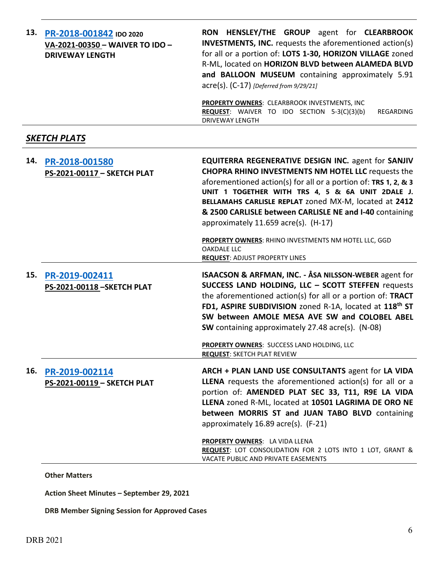| 13. | PR-2018-001842 IDO 2020<br>VA-2021-00350 - WAIVER TO IDO -<br><b>DRIVEWAY LENGTH</b> | RON HENSLEY/THE GROUP agent for CLEARBROOK<br><b>INVESTMENTS, INC.</b> requests the aforementioned action(s)<br>for all or a portion of: LOTS 1-30, HORIZON VILLAGE zoned<br>R-ML, located on HORIZON BLVD between ALAMEDA BLVD<br>and BALLOON MUSEUM containing approximately 5.91<br>acre(s). (C-17) [Deferred from 9/29/21]<br>PROPERTY OWNERS: CLEARBROOK INVESTMENTS, INC                                                                                                                                                    |
|-----|--------------------------------------------------------------------------------------|-----------------------------------------------------------------------------------------------------------------------------------------------------------------------------------------------------------------------------------------------------------------------------------------------------------------------------------------------------------------------------------------------------------------------------------------------------------------------------------------------------------------------------------|
|     |                                                                                      | REQUEST: WAIVER TO IDO SECTION 5-3(C)(3)(b)<br>REGARDING<br><b>DRIVEWAY LENGTH</b>                                                                                                                                                                                                                                                                                                                                                                                                                                                |
|     | <u>SKETCH PLATS</u>                                                                  |                                                                                                                                                                                                                                                                                                                                                                                                                                                                                                                                   |
| 14. | PR-2018-001580<br>PS-2021-00117 - SKETCH PLAT                                        | <b>EQUITERRA REGENERATIVE DESIGN INC. agent for SANJIV</b><br><b>CHOPRA RHINO INVESTMENTS NM HOTEL LLC requests the</b><br>aforementioned action(s) for all or a portion of: TRS 1, 2, & 3<br>UNIT 1 TOGETHER WITH TRS 4, 5 & 6A UNIT 2DALE J.<br>BELLAMAHS CARLISLE REPLAT zoned MX-M, located at 2412<br>& 2500 CARLISLE between CARLISLE NE and I-40 containing<br>approximately 11.659 acre(s). (H-17)<br>PROPERTY OWNERS: RHINO INVESTMENTS NM HOTEL LLC, GGD<br><b>OAKDALE LLC</b><br><b>REQUEST: ADJUST PROPERTY LINES</b> |
| 15. | PR-2019-002411<br>PS-2021-00118-SKETCH PLAT                                          | ISAACSON & ARFMAN, INC. - ÅSA NILSSON-WEBER agent for<br>SUCCESS LAND HOLDING, LLC - SCOTT STEFFEN requests<br>the aforementioned action(s) for all or a portion of: TRACT<br>FD1, ASPIRE SUBDIVISION zoned R-1A, located at 118 <sup>th</sup> ST<br>SW between AMOLE MESA AVE SW and COLOBEL ABEL<br>SW containing approximately 27.48 acre(s). (N-08)<br>PROPERTY OWNERS: SUCCESS LAND HOLDING, LLC<br><b>REQUEST: SKETCH PLAT REVIEW</b>                                                                                       |
| 16. | PR-2019-002114<br>PS-2021-00119 - SKETCH PLAT                                        | ARCH + PLAN LAND USE CONSULTANTS agent for LA VIDA<br>LLENA requests the aforementioned action(s) for all or a<br>portion of: AMENDED PLAT SEC 33, T11, R9E LA VIDA<br>LLENA zoned R-ML, located at 10501 LAGRIMA DE ORO NE<br>between MORRIS ST and JUAN TABO BLVD containing<br>approximately 16.89 acre(s). (F-21)<br>PROPERTY OWNERS: LA VIDA LLENA<br><b>REQUEST:</b> LOT CONSOLIDATION FOR 2 LOTS INTO 1 LOT, GRANT &<br>VACATE PUBLIC AND PRIVATE EASEMENTS                                                                |

**Other Matters**

**Action Sheet Minutes – September 29, 2021**

**DRB Member Signing Session for Approved Cases**